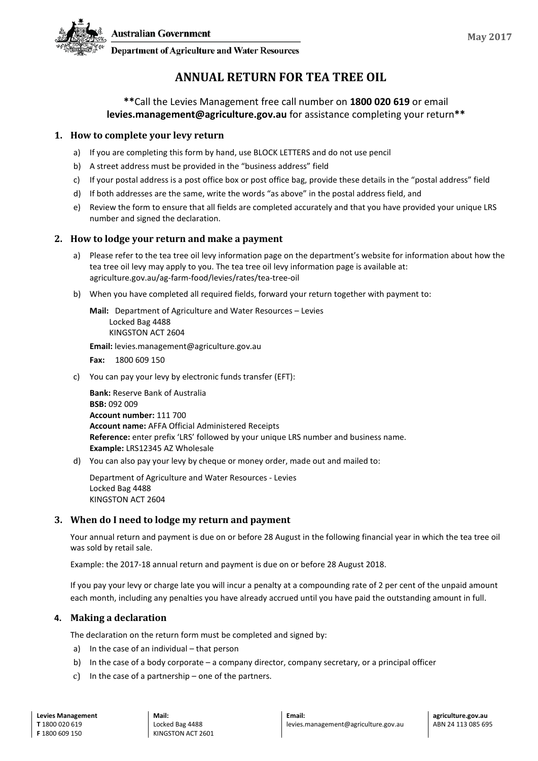

**Department of Agriculture and Water Resources** 

# **ANNUAL RETURN FOR TEA TREE OIL**

# **\*\***Call the Levies Management free call number on **1800 020 619** or email **levies.management@agriculture.gov.au** for assistance completing your return**\*\***

# **1. How to complete your levy return**

- a) If you are completing this form by hand, use BLOCK LETTERS and do not use pencil
- b) A street address must be provided in the "business address" field
- c) If your postal address is a post office box or post office bag, provide these details in the "postal address" field
- d) If both addresses are the same, write the words "as above" in the postal address field, and
- e) Review the form to ensure that all fields are completed accurately and that you have provided your unique LRS number and signed the declaration.

## **2. How to lodge your return and make a payment**

- a) Please refer to the tea tree oil levy information page on the department's website for information about how the tea tree oil levy may apply to you. The tea tree oil levy information page is available at: agriculture.gov.au/ag-farm-food/levies/rates/tea-tree-oil
- b) When you have completed all required fields, forward your return together with payment to:

**Mail:** Department of Agriculture and Water Resources – Levies Locked Bag 4488 KINGSTON ACT 2604

**Email:** levies.management@agriculture.gov.au

**Fax:** 1800 609 150

c) You can pay your levy by electronic funds transfer (EFT):

**Bank:** Reserve Bank of Australia **BSB:** 092 009 **Account number:** 111 700 **Account name:** AFFA Official Administered Receipts **Reference:** enter prefix 'LRS' followed by your unique LRS number and business name. **Example:** LRS12345 AZ Wholesale

d) You can also pay your levy by cheque or money order, made out and mailed to:

Department of Agriculture and Water Resources - Levies Locked Bag 4488 KINGSTON ACT 2604

## **3. When do I need to lodge my return and payment**

Your annual return and payment is due on or before 28 August in the following financial year in which the tea tree oil was sold by retail sale.

Example: the 2017-18 annual return and payment is due on or before 28 August 2018.

If you pay your levy or charge late you will incur a penalty at a compounding rate of 2 per cent of the unpaid amount each month, including any penalties you have already accrued until you have paid the outstanding amount in full.

## **4. Making a declaration**

The declaration on the return form must be completed and signed by:

- a) In the case of an individual that person
- b) In the case of a body corporate a company director, company secretary, or a principal officer
- c) In the case of a partnership one of the partners.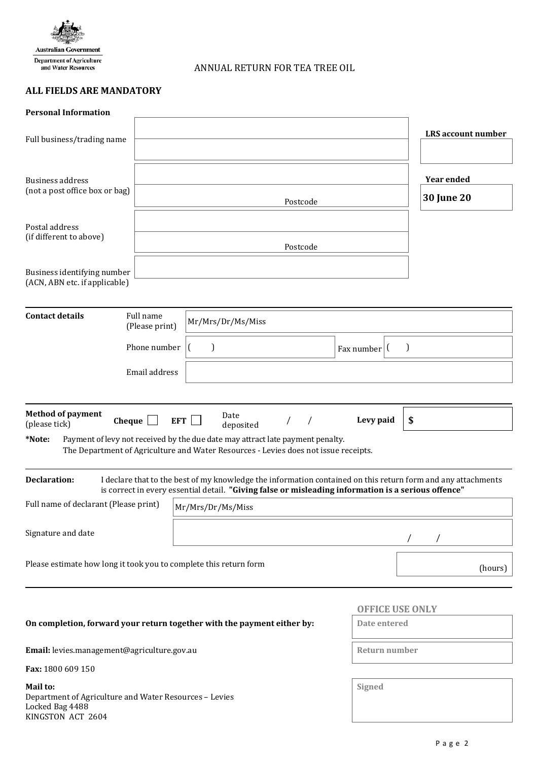

ANNUAL RETURN FOR TEA TREE OIL

# **ALL FIELDS ARE MANDATORY**

| <b>Personal Information</b>                                                                                |                             |                                                                                                                                                                                                                     |                                        |                           |
|------------------------------------------------------------------------------------------------------------|-----------------------------|---------------------------------------------------------------------------------------------------------------------------------------------------------------------------------------------------------------------|----------------------------------------|---------------------------|
| Full business/trading name                                                                                 |                             |                                                                                                                                                                                                                     |                                        | <b>LRS</b> account number |
| <b>Business address</b><br>(not a post office box or bag)                                                  |                             | Postcode                                                                                                                                                                                                            | <b>Year ended</b><br><b>30 June 20</b> |                           |
| Postal address<br>(if different to above)                                                                  |                             | Postcode                                                                                                                                                                                                            |                                        |                           |
| Business identifying number<br>(ACN, ABN etc. if applicable)                                               |                             |                                                                                                                                                                                                                     |                                        |                           |
| <b>Contact details</b>                                                                                     | Full name<br>(Please print) | Mr/Mrs/Dr/Ms/Miss                                                                                                                                                                                                   |                                        |                           |
|                                                                                                            | Phone number                | $\mathbf{I}$                                                                                                                                                                                                        | Fax number $\vert$ (                   | $\mathcal{E}$             |
| Email address                                                                                              |                             |                                                                                                                                                                                                                     |                                        |                           |
| <b>Method of payment</b><br>Cheque<br>(please tick)<br>*Note:                                              | EFT                         | Date<br>$\prime$<br>deposited<br>Payment of levy not received by the due date may attract late payment penalty.<br>The Department of Agriculture and Water Resources - Levies does not issue receipts.              | Levy paid                              | \$                        |
| <b>Declaration:</b>                                                                                        |                             | I declare that to the best of my knowledge the information contained on this return form and any attachments<br>is correct in every essential detail. "Giving false or misleading information is a serious offence" |                                        |                           |
| Full name of declarant (Please print)                                                                      |                             |                                                                                                                                                                                                                     |                                        |                           |
| Signature and date                                                                                         |                             |                                                                                                                                                                                                                     |                                        |                           |
| Please estimate how long it took you to complete this return form                                          |                             | (hours)                                                                                                                                                                                                             |                                        |                           |
|                                                                                                            |                             |                                                                                                                                                                                                                     | <b>OFFICE USE ONLY</b>                 |                           |
| On completion, forward your return together with the payment either by:                                    | Date entered                |                                                                                                                                                                                                                     |                                        |                           |
| Email: levies.management@agriculture.gov.au                                                                | Return number               |                                                                                                                                                                                                                     |                                        |                           |
| Fax: 1800 609 150                                                                                          |                             |                                                                                                                                                                                                                     |                                        |                           |
| Mail to:<br>Department of Agriculture and Water Resources - Levies<br>Locked Bag 4488<br>KINGSTON ACT 2604 | Signed                      |                                                                                                                                                                                                                     |                                        |                           |